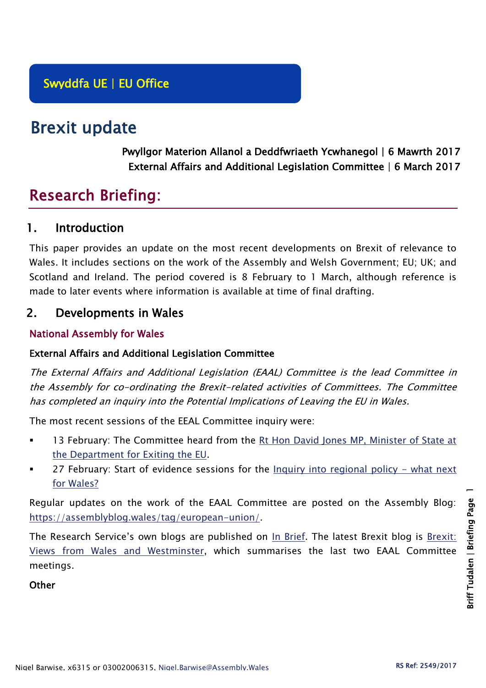# Brexit update

Pwyllgor Materion Allanol a Deddfwriaeth Ycwhanegol | 6 Mawrth 2017 External Affairs and Additional Legislation Committee | 6 March 2017

# Research Briefing:

## 1. Introduction

This paper provides an update on the most recent developments on Brexit of relevance to Wales. It includes sections on the work of the Assembly and Welsh Government; EU; UK; and Scotland and Ireland. The period covered is 8 February to 1 March, although reference is made to later events where information is available at time of final drafting.

## 2. Developments in Wales

### National Assembly for Wales

#### External Affairs and Additional Legislation Committee

The External Affairs and Additional Legislation (EAAL) Committee is the lead Committee in the Assembly for co-ordinating the Brexit-related activities of Committees. The Committee has completed an inquiry into the Potential Implications of Leaving the EU in Wales.

The most recent sessions of the EEAL Committee inquiry were:

- 13 February: The Committee heard from the Rt Hon David Jones MP, Minister of State at [the Department for Exiting the EU.](http://senedd.assembly.wales/documents/s59631/13%20February%202017.pdf)
- 27 February: Start of evidence sessions for the [Inquiry into regional policy -](http://senedd.assembly.wales/mgIssueHistoryHome.aspx?IId=17267) what next [for Wales?](http://senedd.assembly.wales/mgIssueHistoryHome.aspx?IId=17267)

Regular updates on the work of the EAAL Committee are posted on the Assembly Blog: [https://assemblyblog.wales/tag/european-union/.](https://assemblyblog.wales/tag/european-union/)

The Research Service's own blogs are published on [In Brief.](https://assemblyinbrief.wordpress.com/) The latest Brexit blog is Brexit: [Views from Wales and Westminster,](https://assemblyinbrief.wordpress.com/2017/02/28/brexit-views-from-wales-and-westminster/) which summarises the last two EAAL Committee meetings.

#### **Other**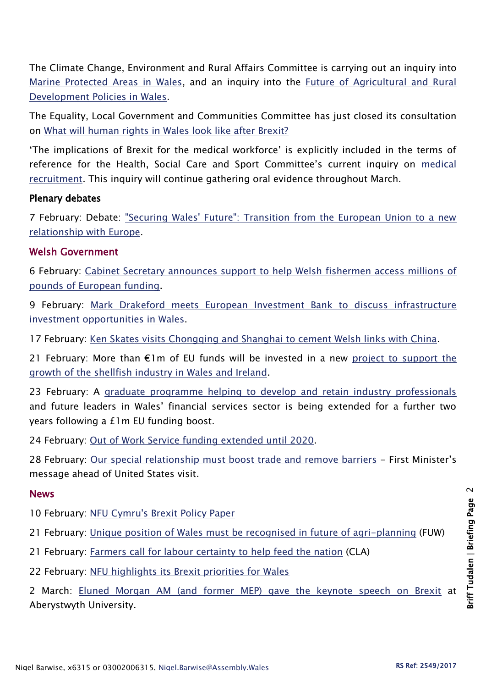The Climate Change, Environment and Rural Affairs Committee is carrying out an inquiry into [Marine Protected Areas in Wales,](http://senedd.assembly.wales/mgIssueHistoryHome.aspx?IId=16663) and an inquiry into the [Future of Agricultural and Rural](http://senedd.assembly.wales/mgIssueHistoryHome.aspx?IId=15876)  [Development Policies in Wales.](http://senedd.assembly.wales/mgIssueHistoryHome.aspx?IId=15876)

The Equality, Local Government and Communities Committee has just closed its consultation on [What will human rights in Wales look like after Brexit?](http://senedd.assembly.wales/mgConsultationDisplay.aspx?id=244&RPID=1008299204&cp=yes)

'The implications of Brexit for the medical workforce' is explicitly included in the terms of reference for the Health, Social Care and Sport Committee's current inquiry on [medical](http://senedd.assembly.wales/mgIssueHistoryHome.aspx?IId=16122)  [recruitment.](http://senedd.assembly.wales/mgIssueHistoryHome.aspx?IId=16122) This inquiry will continue gathering oral evidence throughout March.

#### Plenary debates

7 February: Debate: ["Securing Wales' Future": Transition from the European Union to a new](http://www.assembly.wales/en/bus-home/pages/rop.aspx?meetingid=4081&assembly=5&c=Record%20of%20Proceedings#457176)  [relationship with Europe.](http://www.assembly.wales/en/bus-home/pages/rop.aspx?meetingid=4081&assembly=5&c=Record%20of%20Proceedings#457176)

#### Welsh Government

6 February: [Cabinet Secretary announces support to help Welsh fishermen access millions of](http://gov.wales/newsroom/environmentandcountryside/2017/170206-support-to-help-welsh-fishermen-access-millions-of-pounds-of-european-funding/?lang=en)  [pounds of European funding.](http://gov.wales/newsroom/environmentandcountryside/2017/170206-support-to-help-welsh-fishermen-access-millions-of-pounds-of-european-funding/?lang=en)

9 February: [Mark Drakeford meets European Investment Bank to discuss infrastructure](http://gov.wales/newsroom/finance1/2017/58902382/?lang=en)  [investment opportunities in Wales.](http://gov.wales/newsroom/finance1/2017/58902382/?lang=en)

17 February: [Ken Skates visits Chongqing and Shanghai to cement Welsh links with China.](http://gov.wales/newsroom/businessandeconomy/2017/170217-ken-skates-visits-chongqing-and-shanghai-to-cement-welsh-links-with-china/?lang=en)

21 February: More than  $E1m$  of EU funds will be invested in a new project to support the [growth of the shellfish industry in Wales and Ireland.](http://gov.wales/newsroom/finance1/2017/58921316/?lang=en)

23 February: A [graduate programme helping to develop and retain industry professionals](http://gov.wales/newsroom/finance1/2017/58927103/?lang=en) and future leaders in Wales' financial services sector is being extended for a further two years following a £1m EU funding boost.

24 February: [Out of Work Service funding extended until 2020.](http://gov.wales/newsroom/health-and-social-services/2017/out-of-work/?lang=en)

28 February: [Our special relationship must boost trade and remove barriers](http://gov.wales/newsroom/firstminister/2017/170228usa/?lang=en) - First Minister's message ahead of United States visit.

#### News

10 February: [NFU Cymru's Brexit Policy Paper](https://www.nfu-cymru.org.uk/news/latest-news/nfu-cymrus-brexit-policy-paper/)

21 February: [Unique position of Wales must be recognised in future of agri-planning](http://fuw.org.uk/7725/) (FUW)

- 21 February: [Farmers call for labour certainty to help feed the nation](http://www.cla.org.uk/latest/news/all-news/farmers-call-labour-certainty-help-feed-nation) (CLA)
- 22 February: [NFU highlights its Brexit priorities for Wales](https://www.nfu-cymru.org.uk/news/latest-news/union-highlights-its-brexit-priorities-for-wales/)

2 March: [Eluned Morgan AM \(and former MEP\) gave the keynote speech on Brexit](https://www.aber.ac.uk/en/news/archive/2017/02/title-197939-en.html) at Aberystwyth University.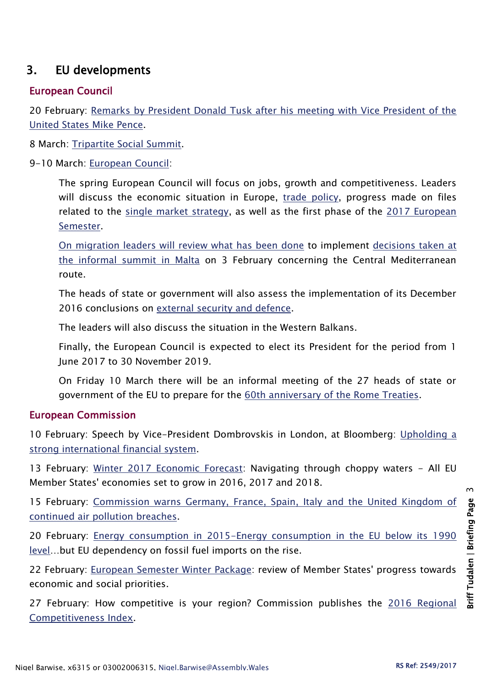# 3. EU developments

#### European Council

20 February: [Remarks by President Donald Tusk after his meeting with Vice President of the](http://www.consilium.europa.eu/en/press/press-releases/2017/02/20-tusk-remarks-meeting-us-vice-president-pence/)  [United States Mike Pence.](http://www.consilium.europa.eu/en/press/press-releases/2017/02/20-tusk-remarks-meeting-us-vice-president-pence/)

8 March: [Tripartite Social Summit.](http://www.consilium.europa.eu/en/meetings/european-council/2017/03/08/)

#### 9-10 March: [European Council:](http://www.consilium.europa.eu/en/meetings/european-council/2017/03/09-10-euco-annotated-draft-agenda_pdf/)

The spring European Council will focus on jobs, growth and competitiveness. Leaders will discuss the economic situation in Europe, [trade policy,](http://www.consilium.europa.eu/en/policies/trade-agreements/) progress made on files related to the [single market strategy,](http://www.consilium.europa.eu/en/policies/deeper-single-market/) as well as the first phase of the [2017 European](http://www.consilium.europa.eu/en/policies/european-semester/2017/)  [Semester.](http://www.consilium.europa.eu/en/policies/european-semester/2017/)

[On migration leaders will review what has been done](http://www.consilium.europa.eu/en/policies/migratory-pressures/) to implement [decisions taken at](http://www.consilium.europa.eu/en/meetings/european-council/2017/02/03-informal-meeting/)  [the informal summit in Malta](http://www.consilium.europa.eu/en/meetings/european-council/2017/02/03-informal-meeting/) on 3 February concerning the Central Mediterranean route.

The heads of state or government will also assess the implementation of its December 2016 conclusions on [external security and defence.](http://www.consilium.europa.eu/en/policies/defence-security/)

The leaders will also discuss the situation in the Western Balkans.

Finally, the European Council is expected to elect its President for the period from 1 June 2017 to 30 November 2019.

On Friday 10 March there will be an informal meeting of the 27 heads of state or government of the EU to prepare for the [60th anniversary of the Rome Treaties.](http://www.consilium.europa.eu/en/meetings/european-council/2017/03/25-informal-meeting/)

#### European Commission

10 February: Speech by Vice-President Dombrovskis in London, at Bloomberg: [Upholding a](http://europa.eu/rapid/press-release_SPEECH-17-261_en.htm)  [strong international financial system.](http://europa.eu/rapid/press-release_SPEECH-17-261_en.htm)

13 February: [Winter 2017 Economic Forecast:](http://europa.eu/rapid/press-release_IP-17-251_en.htm) Navigating through choppy waters - All EU Member States' economies set to grow in 2016, 2017 and 2018.

15 February: [Commission warns Germany, France, Spain, Italy and the United Kingdom of](http://europa.eu/rapid/press-release_IP-17-238_en.htm)  [continued air pollution breaches.](http://europa.eu/rapid/press-release_IP-17-238_en.htm)

20 February: [Energy consumption in 2015-Energy consumption in the EU below its 1990](http://europa.eu/rapid/press-release_STAT-17-307_en.htm)  [level](http://europa.eu/rapid/press-release_STAT-17-307_en.htm)…but EU dependency on fossil fuel imports on the rise.

22 February: [European Semester Winter Package:](http://europa.eu/rapid/press-release_IP-17-308_en.htm) review of Member States' progress towards economic and social priorities.

27 February: How competitive is your region? Commission publishes the [2016 Regional](http://europa.eu/rapid/press-release_IP-17-333_en.htm)  [Competitiveness Index.](http://europa.eu/rapid/press-release_IP-17-333_en.htm)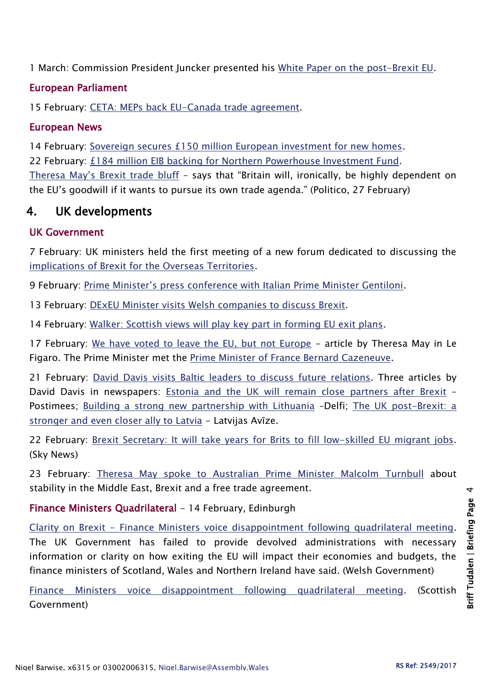1 March: Commission President Juncker presented his [White Paper on the post-Brexit EU.](http://europa.eu/rapid/press-release_IP-17-385_en.htm)

#### European Parliament

15 February: [CETA: MEPs back EU-Canada trade agreement.](http://www.europarl.europa.eu/news/en/news-room/20170209IPR61728/ceta-meps-back-eu-canada-trade-agreement)

#### European News

14 February: [Sovereign secures £150 million European investment for new homes.](http://www.eib.org/infocentre/press/releases/all/2017/2017-028-sovereign-secures-european-investment-for-new-homes.htm) 22 February: [£184 million EIB backing for Northern Powerhouse Investment Fund.](http://www.eib.org/infocentre/press/releases/all/2017/2017-039-pound184-million-eib-backing-for-northern-powerhouse-investment-fund.htm) [Theresa May's Brexit trade bluff](http://www.politico.eu/article/theresa-may-brexit-trade-bluff-uk-economy-negotiation-eu/) – says that "Britain will, ironically, be highly dependent on the EU's goodwill if it wants to pursue its own trade agenda." (Politico, 27 February)

## 4. UK developments

#### UK Government

7 February: UK ministers held the first meeting of a new forum dedicated to discussing the [implications of Brexit for the Overseas Territories.](https://www.gov.uk/government/news/ministers-meet-overseas-territories-to-engage-in-brexit-process)

9 February: Prime Minister's [press conference with Italian Prime Minister Gentiloni.](https://www.gov.uk/government/speeches/pm-press-conference-with-italian-prime-minister-gentiloni-9-february-2017)

13 February: [DExEU Minister visits Welsh companies to discuss Brexit.](https://www.gov.uk/government/news/dexeu-minister-visits-welsh-companies-to-discuss-brexit)

14 February: [Walker: Scottish views will play key part in forming EU exit plans.](https://www.gov.uk/government/news/walker-scottish-views-will-play-key-part-in-forming-eu-exit-plans)

17 February: [We have voted to leave the EU, but not Europe](https://www.gov.uk/government/speeches/we-have-voted-to-leave-the-eu-but-not-europe-article-by-theresa-may) - article by Theresa May in Le Figaro. The Prime Minister met the [Prime Minister of France Bernard Cazeneuve.](https://www.gov.uk/government/news/pm-meeting-with-french-prime-minister-cazeneuve-17-february-2017)

21 February: [David Davis visits Baltic leaders to discuss future](https://www.gov.uk/government/news/david-davis-visits-baltic-leaders-to-discuss-future-relations) relations. Three articles by David Davis in newspapers: [Estonia and the UK will remain close partners after Brexit](https://www.gov.uk/government/speeches/david-davis-estonia-and-the-uk-will-remain-close-partners-after-brexit) -Postimees; [Building a strong new partnership with Lithuania](https://www.gov.uk/government/speeches/building-a-strong-new-partnership-with-lithuania) –Delfi; [The UK post-Brexit: a](https://www.gov.uk/government/speeches/the-uk-post-brexit-a-stronger-and-even-closer-ally-to-latvia)  [stronger and even closer ally to Latvia](https://www.gov.uk/government/speeches/the-uk-post-brexit-a-stronger-and-even-closer-ally-to-latvia) - Latvijas Avīze.

22 February: Brexit [Secretary: It will take years for Brits to fill low-skilled EU migrant jobs.](http://news.sky.com/story/it-will-take-years-for-brits-to-fill-low-skilled-eu-migrant-jobs-says-brexit-secretary-10777345) (Sky News)

23 February: [Theresa May spoke to Australian Prime Minister Malcolm Turnbull](https://www.gov.uk/government/news/pm-call-with-prime-minister-turnbull-of-australia-23-february-2017) about stability in the Middle East, Brexit and a free trade agreement.

Finance Ministers Quadrilateral - 14 February, Edinburgh

Clarity on Brexit - [Finance Ministers voice disappointment following quadrilateral meeting.](http://gov.wales/newsroom/finance1/2017/58911619/?lang=en) The UK Government has failed to provide devolved administrations with necessary information or clarity on how exiting the EU will impact their economies and budgets, the finance ministers of Scotland, Wales and Northern Ireland have said. (Welsh Government)

[Finance Ministers voice disappointment following quadrilateral meeting.](http://news.gov.scot/news/clarity-on-brexit) (Scottish Government)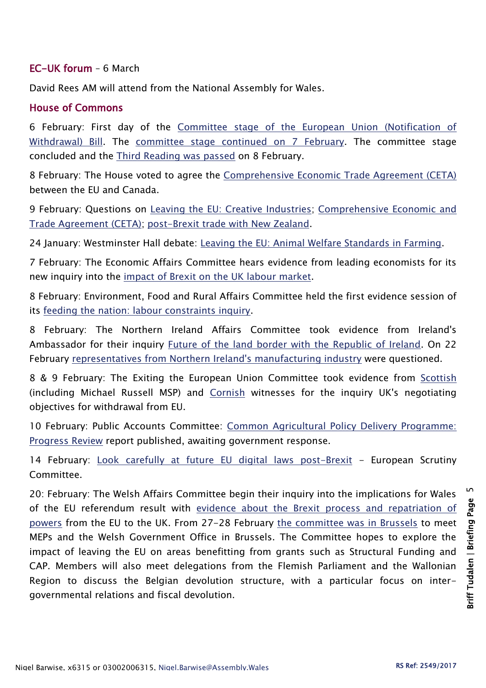#### EC-UK forum – 6 March

David Rees AM will attend from the National Assembly for Wales.

#### House of Commons

6 February: First day of the [Committee stage of the European Union \(Notification of](https://hansard.parliament.uk/commons/2017-02-06/debates/095B1CCD-B543-44BF-A78B-8DBBA95E8EEC/EuropeanUnion(NotificationOfWithdrawal)Bill)  [Withdrawal\) Bill.](https://hansard.parliament.uk/commons/2017-02-06/debates/095B1CCD-B543-44BF-A78B-8DBBA95E8EEC/EuropeanUnion(NotificationOfWithdrawal)Bill) The [committee stage continued](https://hansard.parliament.uk/commons/2017-02-07/debates/63BA059F-1DF7-4FE0-818D-3E34E34A5501/EuropeanUnion(NotificationOfWithdrawal)Bill) on 7 February. The committee stage concluded and the [Third Reading was passed](https://hansard.parliament.uk/commons/2017-02-08/debates/B9545C0C-B593-43E4-A12E-2AD5D47DEFE4/EuropeanUnion(NotificationOfWithdrawal)Bill) on 8 February.

8 February: The House voted to agree the [Comprehensive Economic Trade Agreement \(CETA\)](https://hansard.parliament.uk/commons/2017-02-08/debates/8688DFBA-3EC1-4132-ADEB-BBAEABCE01BAX/ComprehensiveEconomicTradeAgreement(CETA)BetweenTheEUAndCanada) between the EU and Canada.

9 February: Questions on [Leaving the EU: Creative Industries;](https://hansard.parliament.uk/commons/2017-02-09/debates/F6DCE523-C255-41E4-958A-586400DA02BB/LeavingTheEUCreativeIndustries) Comprehensive Economic and [Trade Agreement \(CETA\);](https://hansard.parliament.uk/commons/2017-02-09/debates/B631FA60-75DD-4E84-A136-A12F831420DB/ComprehensiveEconomicAndTradeAgreement) [post-Brexit trade with New Zealand.](https://hansard.parliament.uk/commons/2017-02-09/debates/D5EC4C80-AE65-4065-82A5-6A61140CAAD0/NewZealand)

24 January: Westminster Hall debate: [Leaving the EU: Animal Welfare Standards in Farming.](https://hansard.parliament.uk/commons/2017-01-24/debates/7E2FCDD9-C80D-4488-92C5-1783E703AC45/LeavingTheEUAnimalWelfareStandardsInFarming)

7 February: The Economic Affairs Committee hears evidence from leading economists for its new inquiry into the [impact of Brexit on the UK labour market.](http://www.parliament.uk/business/committees/committees-a-z/lords-select/economic-affairs-committee/news-parliament-2015/academics-brexit-evidence-session/)

8 February: Environment, Food and Rural Affairs Committee held the first evidence session of its [feeding the nation: labour constraints inquiry.](http://www.parliament.uk/business/committees/committees-a-z/commons-select/environment-food-and-rural-affairs-committee/news-parliament-2015/feeding-the-nation-labour-constraints-evidence-16-17/)

8 February: The Northern Ireland Affairs Committee took evidence from Ireland's Ambassador for their inquiry [Future of the land border with the Republic of Ireland.](http://data.parliament.uk/writtenevidence/committeeevidence.svc/evidencedocument/northern-ireland-affairs-committee/future-of-the-land-border-with-the-republic-of-ireland/oral/47122.html) On 22 February [representatives from Northern Ireland's manufacturing industry](http://www.parliament.uk/business/committees/committees-a-z/commons-select/northern-ireland-affairs-committee/news-parliament-2015/land-border-evidence9-16-17/) were questioned.

8 & 9 February: The Exiting the European Union Committee took evidence from [Scottish](http://data.parliament.uk/writtenevidence/committeeevidence.svc/evidencedocument/exiting-the-european-union-committee/the-uks-negotiating-objectives-for-its-withdrawal-from-the-eu/oral/47051.html) (including Michael Russell MSP) and [Cornish](http://data.parliament.uk/writtenevidence/committeeevidence.svc/evidencedocument/exiting-the-european-union-committee/the-uks-negotiating-objectives-for-its-withdrawal-from-the-eu/oral/47053.html) witnesses for the inquiry UK's negotiating objectives for withdrawal from EU.

10 February: Public Accounts Committee: [Common Agricultural Policy Delivery Programme:](http://www.parliament.uk/business/committees/committees-a-z/commons-select/public-accounts-committee/inquiries/parliament-2015/cap-delivery-progress-review-16-17/)  [Progress Review](http://www.parliament.uk/business/committees/committees-a-z/commons-select/public-accounts-committee/inquiries/parliament-2015/cap-delivery-progress-review-16-17/) report published, awaiting government response.

14 February: [Look carefully at future EU digital laws post-Brexit](http://www.parliament.uk/business/committees/committees-a-z/commons-select/european-scrutiny-committee/news-parliament-20151/digital-laws-post-brexit-report-published-16-17/) - European Scrutiny Committee.

20: February: The Welsh Affairs Committee begin their inquiry into the implications for Wales of the EU referendum result with [evidence about the Brexit process and repatriation of](http://www.parliament.uk/business/committees/committees-a-z/commons-select/welsh-affairs-committee/news-parliament-2015/brexit-wales-evidence-16-17/)  [powers](http://www.parliament.uk/business/committees/committees-a-z/commons-select/welsh-affairs-committee/news-parliament-2015/brexit-wales-evidence-16-17/) from the EU to the UK. From 27-28 February [the committee was in Brussels](http://www.parliament.uk/business/committees/committees-a-z/commons-select/welsh-affairs-committee/news-parliament-2015/brussels-visit-16-17/) to meet MEPs and the Welsh Government Office in Brussels. The Committee hopes to explore the impact of leaving the EU on areas benefitting from grants such as Structural Funding and CAP. Members will also meet delegations from the Flemish Parliament and the Wallonian Region to discuss the Belgian devolution structure, with a particular focus on intergovernmental relations and fiscal devolution.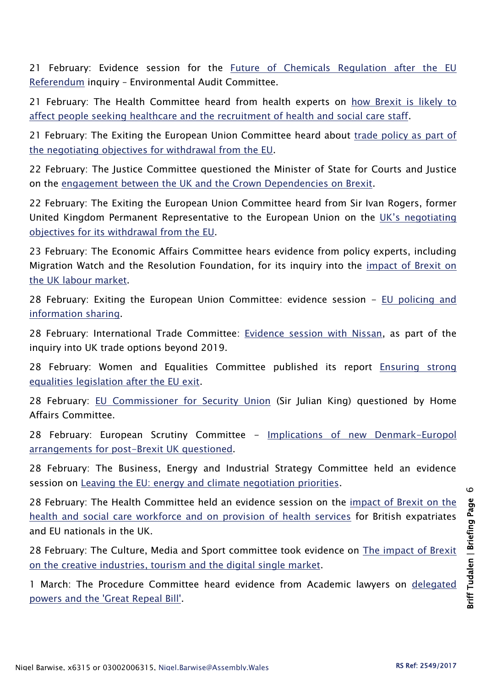21 February: Evidence session for the Future of Chemicals Regulation after the EU [Referendum](http://www.parliament.uk/business/committees/committees-a-z/commons-select/environmental-audit-committee/news-parliament-2015/future-chemicals-brexit-ev2-16-17/) inquiry – Environmental Audit Committee.

21 February: The Health Committee heard from health experts on how Brexit is likely to [affect people seeking healthcare and the recruitment of health and social care staff.](http://www.parliament.uk/business/committees/committees-a-z/commons-select/health-committee/news-parliament-20151/brexit-health-evidence2-16-17/)

21 February: The Exiting the European Union Committee heard about trade policy as part of [the negotiating objectives for withdrawal from the EU.](http://www.parliament.uk/business/committees/committees-a-z/commons-select/exiting-the-european-union-committee/news-parliament-2015/negotiating-objectives-for-eu-withdrawal-13-evidence-16-17/)

22 February: The Justice Committee questioned the Minister of State for Courts and Justice on the [engagement between the UK and the Crown Dependencies on Brexit.](http://www.parliament.uk/business/committees/committees-a-z/commons-select/justice-committee/news-parliament-20151/crown-dependencies-evidence-16-17/)

22 February: The Exiting the European Union Committee heard from Sir Ivan Rogers, former United Kingdom Permanent Representative to the European Union on the [UK's negotiating](http://www.parliament.uk/business/committees/committees-a-z/commons-select/exiting-the-european-union-committee/inquiries/parliament-2015/negotiating-objectives-for-eu-withdrawal-16-17/)  [objectives for its withdrawal from the EU.](http://www.parliament.uk/business/committees/committees-a-z/commons-select/exiting-the-european-union-committee/inquiries/parliament-2015/negotiating-objectives-for-eu-withdrawal-16-17/)

23 February: The Economic Affairs Committee hears evidence from policy experts, including Migration Watch and the Resolution Foundation, for its inquiry into the [impact of Brexit on](http://www.parliament.uk/business/committees/committees-a-z/lords-select/economic-affairs-committee/news-parliament-2015/migration-watch-evidence-session/)  [the UK labour market.](http://www.parliament.uk/business/committees/committees-a-z/lords-select/economic-affairs-committee/news-parliament-2015/migration-watch-evidence-session/)

28 February: Exiting the European Union Committee: evidence session - [EU policing and](http://www.parliament.uk/business/committees/committees-a-z/commons-select/exiting-the-european-union-committee/news-parliament-2015/negotiating-objectives-for-eu-withdrawal-15-evidence-16-17/)  [information sharing.](http://www.parliament.uk/business/committees/committees-a-z/commons-select/exiting-the-european-union-committee/news-parliament-2015/negotiating-objectives-for-eu-withdrawal-15-evidence-16-17/)

28 February: International Trade Committee: [Evidence session with Nissan,](http://www.parliament.uk/business/committees/committees-a-z/commons-select/international-trade-committee/news-parliament-2015/uk-trade-options-beyond-2019-nissan-evidence-16-17/) as part of the inquiry into UK trade options beyond 2019.

28 February: Women and Equalities Committee published its report [Ensuring strong](https://www.publications.parliament.uk/pa/cm201617/cmselect/cmwomeq/799/799.pdf)  [equalities legislation after the EU exit.](https://www.publications.parliament.uk/pa/cm201617/cmselect/cmwomeq/799/799.pdf)

28 February: [EU Commissioner for Security Union](http://www.parliament.uk/business/committees/committees-a-z/commons-select/home-affairs-committee/news-parliament-2015/170224-eu-security-ev/) (Sir Julian King) questioned by Home Affairs Committee.

28 February: European Scrutiny Committee - Implications of new Denmark-Europol [arrangements for post-Brexit UK questioned.](http://www.parliament.uk/business/committees/committees-a-z/commons-select/european-scrutiny-committee/news-parliament-20151/denmark-europol-arrangements-report-published-16-17/)

28 February: The Business, Energy and Industrial Strategy Committee held an evidence session on [Leaving the EU: energy and climate negotiation priorities.](http://www.parliament.uk/business/committees/committees-a-z/commons-select/business-energy-industrial-strategy/news-parliament-2015/leaving-eu-energy-climate-evidence-16-17/)

28 February: The Health Committee held an evidence session on the [impact of Brexit on the](http://www.parliament.uk/business/committees/committees-a-z/commons-select/health-committee/news-parliament-20151/brexit-health-ev3-16-17/)  [health and social care workforce and on provision of health services](http://www.parliament.uk/business/committees/committees-a-z/commons-select/health-committee/news-parliament-20151/brexit-health-ev3-16-17/) for British expatriates and EU nationals in the UK.

28 February: The Culture, Media and Sport committee took evidence on [The impact of Brexit](http://www.parliament.uk/business/committees/committees-a-z/commons-select/culture-media-and-sport-committee/)  [on the creative industries, tourism and the digital single market.](http://www.parliament.uk/business/committees/committees-a-z/commons-select/culture-media-and-sport-committee/)

1 March: The Procedure Committee heard evidence from Academic lawyers on [delegated](http://www.parliament.uk/business/committees/committees-a-z/commons-select/procedure-committee/news-parliament-2015/delegated-powers-great-repeal-bill-first-evidence-16-17/)  [powers and the 'Great Repeal Bill'.](http://www.parliament.uk/business/committees/committees-a-z/commons-select/procedure-committee/news-parliament-2015/delegated-powers-great-repeal-bill-first-evidence-16-17/)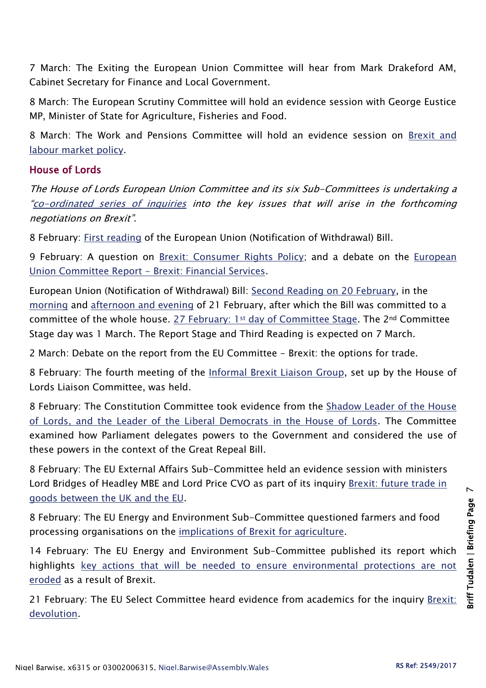7 March: The Exiting the European Union Committee will hear from Mark Drakeford AM, Cabinet Secretary for Finance and Local Government.

8 March: The European Scrutiny Committee will hold an evidence session with George Eustice MP, Minister of State for Agriculture, Fisheries and Food.

8 March: The Work and Pensions Committee will hold an evidence session on [Brexit and](http://www.parliament.uk/business/committees/committees-a-z/commons-select/work-and-pensions-committee/inquiries/parliament-2015/inquiry2/)  [labour market policy.](http://www.parliament.uk/business/committees/committees-a-z/commons-select/work-and-pensions-committee/inquiries/parliament-2015/inquiry2/)

#### House of Lords

The House of Lords European Union Committee and its six Sub-Committees is undertaking a "[co-ordinated series of inquiries](http://www.parliament.uk/business/committees/committees-a-z/lords-select/eu-select-committee-/news-parliament-2015/co-ordinated-inquries-launch/) into the key issues that will arise in the forthcoming negotiations on Brexit".

8 February: [First reading](https://hansard.parliament.uk/Lords/2017-02-08/debates/7E664D18-8D9A-444C-AAD0-805819F016C0/EuropeanUnion(NotificationOfWithdrawal)Bill) of the European Union (Notification of Withdrawal) Bill.

9 February: A question on [Brexit: Consumer Rights Policy;](https://hansard.parliament.uk/Lords/2017-02-09/debates/05AA94DA-F978-408C-9000-DA27480E73EA/BrexitConsumerRightsPolicy) and a debate on the European [Union Committee Report -](https://hansard.parliament.uk/Lords/2017-02-09/debates/7BF217BD-E8A3-4D81-B703-3A1C00C10450/BrexitFinancialServices(EuropeanUnionCommitteeReport)) Brexit: Financial Services.

European Union (Notification of Withdrawal) Bill: [Second Reading on 20 February,](https://hansard.parliament.uk/Lords/2017-02-20/debates/30224DBB-4C77-4D65-A591-699EB7F99981/EuropeanUnion(NotificationOfWithdrawal)Bill) in the [morning](https://hansard.parliament.uk/Lords/2017-02-21/debates/46EB543B-E68F-4017-BD7B-AFBF939A6089/EuropeanUnion(NotificationOfWithdrawal)Bill) and [afternoon and evening](https://hansard.parliament.uk/Lords/2017-02-21/debates/5061080A-55F6-4500-91D4-10EC50BBC33C/EuropeanUnion(NotificationOfWithdrawal)Bill) of 21 February, after which the Bill was committed to a committee of the whole house. 27 February: 1st [day of Committee Stage.](https://hansard.parliament.uk/Lords/2017-02-27/debates/E22CE0EF-FD2B-461D-97B8-871A1FCF87CE/EuropeanUnion(NotificationOfWithdrawal)Bill) The 2nd Committee Stage day was 1 March. The Report Stage and Third Reading is expected on 7 March.

2 March: Debate on the report from the EU Committee - Brexit: the options for trade.

8 February: The fourth meeting of the [Informal Brexit Liaison Group,](http://www.parliament.uk/business/committees/committees-a-z/lords-select/liaison-committee/news-parliament-2015/fourth-brexit-liaison-group-meeting-080217/) set up by the House of Lords Liaison Committee, was held.

8 February: The Constitution Committee took evidence from the [Shadow Leader of the House](http://www.parliament.uk/business/committees/committees-a-z/lords-select/constitution-committee/news-parliament-2015/smith-newby-evidence/)  [of Lords, and the Leader of the Liberal Democrats in the House of Lords.](http://www.parliament.uk/business/committees/committees-a-z/lords-select/constitution-committee/news-parliament-2015/smith-newby-evidence/) The Committee examined how Parliament delegates powers to the Government and considered the use of these powers in the context of the Great Repeal Bill.

8 February: The EU External Affairs Sub-Committee held an evidence session with ministers Lord Bridges of Headley MBE and Lord Price CVO as part of its inquiry Brexit: future trade in [goods between the UK and the EU.](http://www.parliament.uk/business/committees/committees-a-z/lords-select/eu-external-affairs-subcommittee/news-parliament-2015/brexit-trade-ministers-evidence/)

8 February: The EU Energy and Environment Sub-Committee questioned farmers and food processing organisations on the [implications of Brexit for agriculture.](http://www.parliament.uk/business/committees/committees-a-z/lords-select/eu-energy-environment-subcommittee/news-parliament-2015/brexit-agri-supply-chain/)

14 February: The EU Energy and Environment Sub-Committee published its report which highlights key actions that will be needed to ensure environmental protections are not [eroded](http://www.parliament.uk/business/committees/committees-a-z/lords-select/eu-energy-environment-subcommittee/news-parliament-2015/brexit-env-cc-rpt/) as a result of Brexit.

21 February: The EU Select Committee heard evidence from academics for the inquiry [Brexit:](http://www.parliament.uk/business/committees/committees-a-z/lords-select/eu-select-committee-/news-parliament-2015/brexit-devolution-academics-evidence/)  [devolution.](http://www.parliament.uk/business/committees/committees-a-z/lords-select/eu-select-committee-/news-parliament-2015/brexit-devolution-academics-evidence/)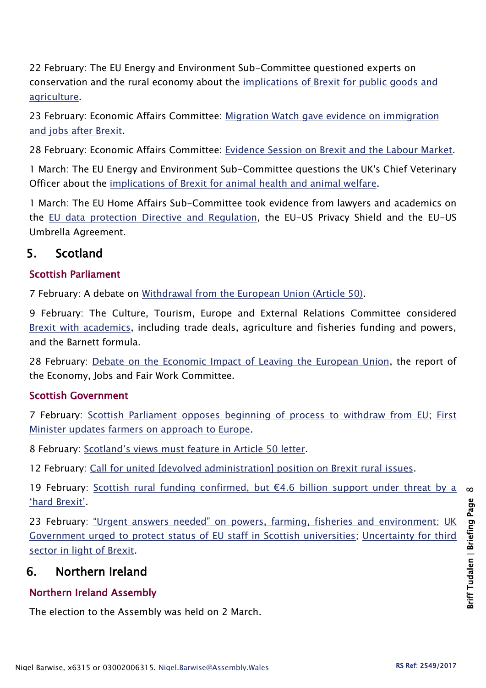22 February: The EU Energy and Environment Sub-Committee questioned experts on conservation and the rural economy about the [implications of Brexit for public goods and](http://www.parliament.uk/business/committees/committees-a-z/lords-select/eu-energy-environment-subcommittee/news-parliament-2015/brexit-agri-public-goods/)  [agriculture.](http://www.parliament.uk/business/committees/committees-a-z/lords-select/eu-energy-environment-subcommittee/news-parliament-2015/brexit-agri-public-goods/)

23 February: Economic Affairs Committee: [Migration Watch gave evidence on immigration](http://www.parliament.uk/business/committees/committees-a-z/lords-select/economic-affairs-committee/news-parliament-2015/migration-watch-evidence-session/)  [and jobs after Brexit.](http://www.parliament.uk/business/committees/committees-a-z/lords-select/economic-affairs-committee/news-parliament-2015/migration-watch-evidence-session/)

28 February: Economic Affairs Committee: [Evidence Session on Brexit and the Labour Market.](http://www.parliament.uk/business/committees/committees-a-z/lords-select/economic-affairs-committee/)

1 March: The EU Energy and Environment Sub-Committee questions the UK's Chief Veterinary Officer about the [implications of Brexit for animal health and animal welfare.](http://www.parliament.uk/business/committees/committees-a-z/lords-select/eu-energy-environment-subcommittee/news-parliament-2015/brexit-agri-cvo/)

1 March: The EU Home Affairs Sub-Committee took evidence from lawyers and academics on the [EU data protection Directive and Regulation,](http://www.parliament.uk/business/committees/committees-a-z/lords-select/eu-home-affairs-subcommittee/news-parliament-2015/lawyers-academics-data-protection/) the EU-US Privacy Shield and the EU-US Umbrella Agreement.

# 5. Scotland

## Scottish Parliament

7 February: A debate on [Withdrawal from the European Union \(Article 50\).](http://www.parliament.scot/parliamentarybusiness/report.aspx?r=10779&i=98818)

9 February: The Culture, Tourism, Europe and External Relations Committee considered [Brexit with academics,](http://www.parliament.scot/parliamentarybusiness/report.aspx?r=10790&i=98909) including trade deals, agriculture and fisheries funding and powers, and the Barnett formula.

28 February: [Debate on the Economic Impact of Leaving the European Union,](http://www.parliament.scot/parliamentarybusiness/report.aspx?r=10811&i=99042) the report of the Economy, Jobs and Fair Work Committee.

### Scottish Government

7 February: [Scottish Parliament opposes beginning of process to withdraw from EU;](http://news.gov.scot/news/article-50-bill) [First](http://news.gov.scot/news/future-of-farming)  [Minister updates farmers on approach to Europe.](http://news.gov.scot/news/future-of-farming)

8 February: [Scotland's views must feature in Article 50 letter](http://news.gov.scot/news/scotlands-views-must-feature-in-article-50-letter).

12 February: [Call for united \[devolved administration\] position on Brexit rural issues.](http://news.gov.scot/news/call-for-united-position-on-brexit-rural-issues)

19 February: [Scottish rural funding confirmed, but €4.6 billion support under threat by a](http://news.gov.scot/news/scottish-rural-funding-confirmed)  ['hard Brexit'](http://news.gov.scot/news/scottish-rural-funding-confirmed).

23 February: ["Urgent answers needed" on powers, farming, fisheries and environment](http://news.gov.scot/news/brexit-meeting-update); UK [Government urged to protect status of EU staff in Scottish universities;](http://news.gov.scot/news/eu-staff-in-higher-education) [Uncertainty for third](http://news.gov.scot/news/third-sector-vital-to-eu-stability)  [sector in light of Brexit.](http://news.gov.scot/news/third-sector-vital-to-eu-stability)

# 6. Northern Ireland

# Northern Ireland Assembly

The election to the Assembly was held on 2 March.